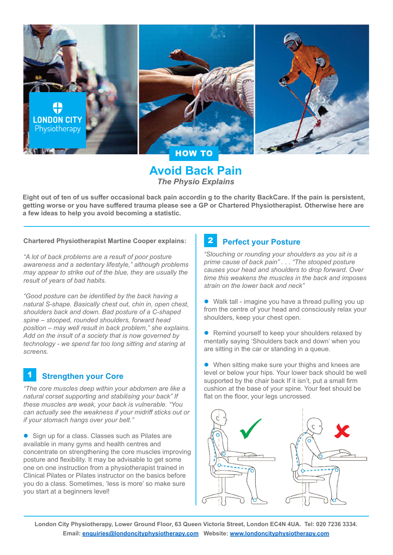

**Avoid Back Pain** *The Physio Explains*

**Eight out of ten of us suffer occasional back pain accordin g to the charity BackCare. If the pain is persistent, getting worse or you have suffered trauma please see a GP or Chartered Physiotherapist. Otherwise here are a few ideas to help you avoid becoming a statistic.**

**Chartered Physiotherapist Martine Cooper explains:**

*"A lot of back problems are a result of poor posture awareness and a sedentary lifestyle," although problems may appear to strike out of the blue, they are usually the result of years of bad habits.*

*"Good posture can be identified by the back having a natural S-shape. Basically chest out, chin in, open chest, shoulders back and down. Bad posture of a C-shaped spine – stooped, rounded shoulders, forward head position – may well result in back problem," she explains. Add on the insult of a society that is now governed by technology - we spend far too long sitting and staring at screens.*

#### **Strengthen your Core** 1

*"The core muscles deep within your abdomen are like a natural corset supporting and stabilising your back" If these muscles are weak, your back is vulnerable. "You can actually see the weakness if your midriff sticks out or if your stomach hangs over your belt."*

• Sign up for a class. Classes such as Pilates are available in many gyms and health centres and concentrate on strengthening the core muscles improving posture and flexibility. It may be advisable to get some one on one instruction from a physiotherapist trained in Clinical Pilates or Pilates instructor on the basics before you do a class. Sometimes, 'less is more' so make sure you start at a beginners level!

#### **Perfect your Posture** 2

*"Slouching or rounding your shoulders as you sit is a prime cause of back pain" . . . "The stooped posture causes your head and shoulders to drop forward. Over time this weakens the muscles in the back and imposes strain on the lower back and neck"*

 $\bullet$  Walk tall - imagine you have a thread pulling you up from the centre of your head and consciously relax your shoulders, keep your chest open.

• Remind yourself to keep your shoulders relaxed by mentally saying 'Shoulders back and down' when you are sitting in the car or standing in a queue.

• When sitting make sure your thighs and knees are level or below your hips. Your lower back should be well supported by the chair back If it isn't, put a small firm cushion at the base of your spine. Your feet should be flat on the floor, your legs uncrossed.



**London City Physiotherapy, Lower Ground Floor, 63 Queen Victoria Street, London EC4N 4UA. Tel: 020 7236 3334. Email: [enquiries@londoncityphysiotherapy.com](mailto:enquiries%40londoncityphysiotherapy.com?subject=) Website: [www.londoncityphysiotherapy.com](http://www.londoncityphysiotherapy.com)**